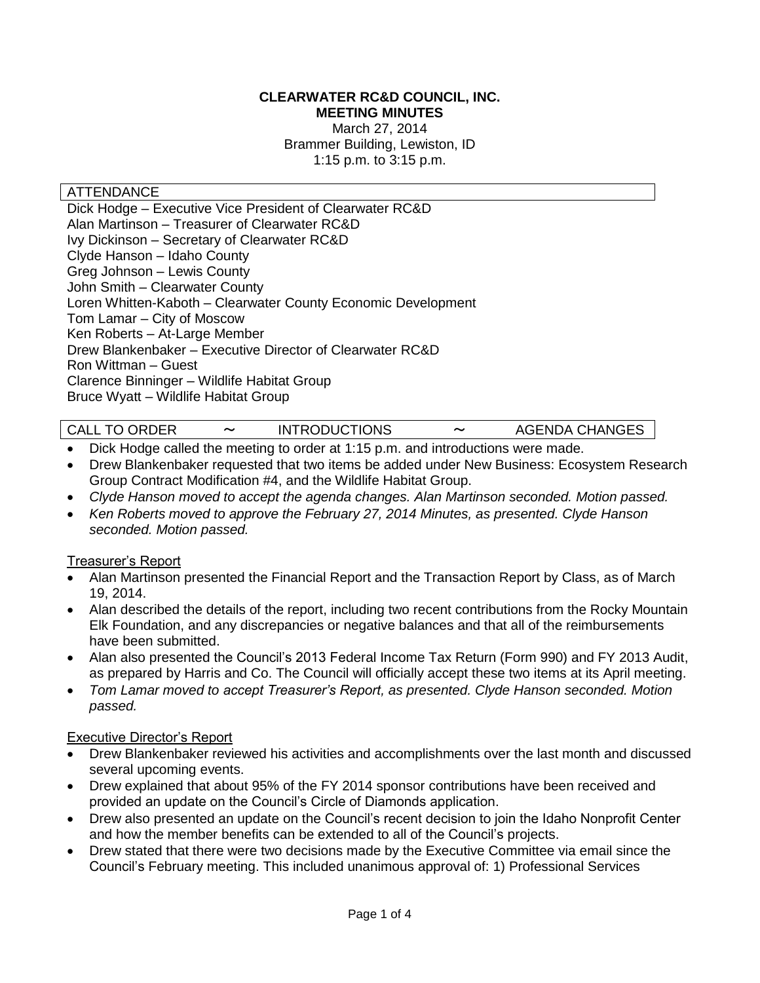#### **CLEARWATER RC&D COUNCIL, INC. MEETING MINUTES**

March 27, 2014 Brammer Building, Lewiston, ID 1:15 p.m. to 3:15 p.m.

### ATTENDANCE

Dick Hodge – Executive Vice President of Clearwater RC&D Alan Martinson – Treasurer of Clearwater RC&D Ivy Dickinson – Secretary of Clearwater RC&D Clyde Hanson – Idaho County Greg Johnson – Lewis County John Smith – Clearwater County Loren Whitten-Kaboth – Clearwater County Economic Development Tom Lamar – City of Moscow Ken Roberts – At-Large Member Drew Blankenbaker – Executive Director of Clearwater RC&D Ron Wittman – Guest Clarence Binninger – Wildlife Habitat Group Bruce Wyatt – Wildlife Habitat Group

| <b>CALL TO ORDER</b> | <b>INTRODUCTIONS</b> | $\tilde{\phantom{a}}$ | <b>AGENDA CHANGES</b> |
|----------------------|----------------------|-----------------------|-----------------------|
|----------------------|----------------------|-----------------------|-----------------------|

- Dick Hodge called the meeting to order at 1:15 p.m. and introductions were made.
- Drew Blankenbaker requested that two items be added under New Business: Ecosystem Research Group Contract Modification #4, and the Wildlife Habitat Group.
- *Clyde Hanson moved to accept the agenda changes. Alan Martinson seconded. Motion passed.*
- *Ken Roberts moved to approve the February 27, 2014 Minutes, as presented. Clyde Hanson seconded. Motion passed.*

### Treasurer's Report

- Alan Martinson presented the Financial Report and the Transaction Report by Class, as of March 19, 2014.
- Alan described the details of the report, including two recent contributions from the Rocky Mountain Elk Foundation, and any discrepancies or negative balances and that all of the reimbursements have been submitted.
- Alan also presented the Council's 2013 Federal Income Tax Return (Form 990) and FY 2013 Audit, as prepared by Harris and Co. The Council will officially accept these two items at its April meeting.
- *Tom Lamar moved to accept Treasurer's Report, as presented. Clyde Hanson seconded. Motion passed.*

### Executive Director's Report

- Drew Blankenbaker reviewed his activities and accomplishments over the last month and discussed several upcoming events.
- Drew explained that about 95% of the FY 2014 sponsor contributions have been received and provided an update on the Council's Circle of Diamonds application.
- Drew also presented an update on the Council's recent decision to join the Idaho Nonprofit Center and how the member benefits can be extended to all of the Council's projects.
- Drew stated that there were two decisions made by the Executive Committee via email since the Council's February meeting. This included unanimous approval of: 1) Professional Services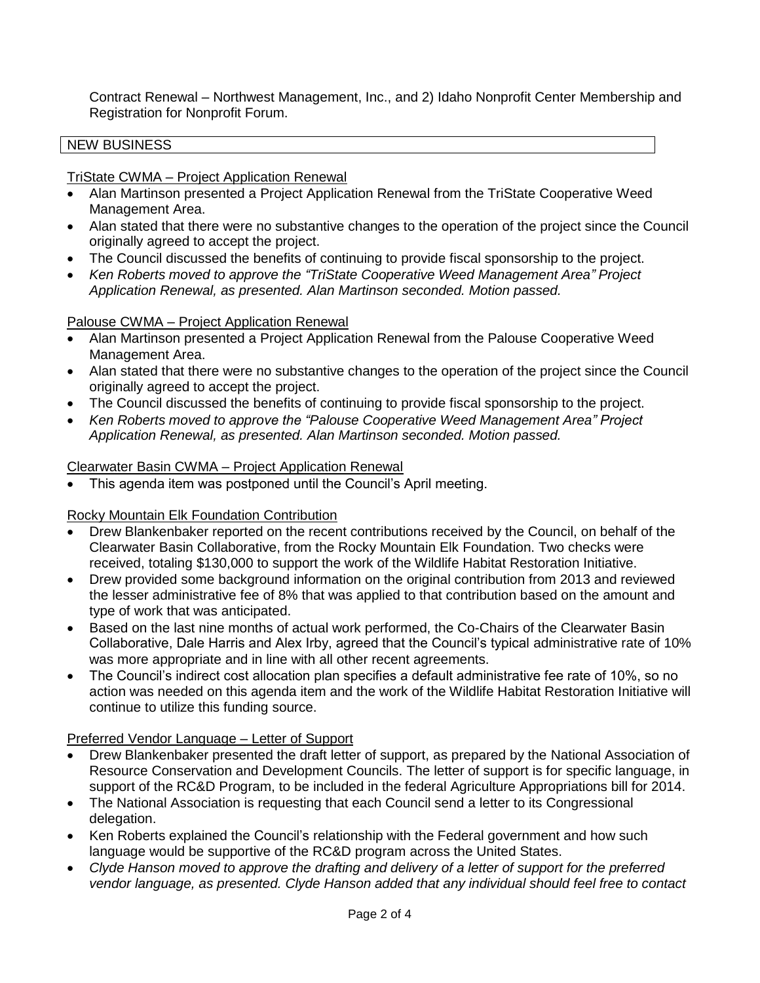Contract Renewal – Northwest Management, Inc., and 2) Idaho Nonprofit Center Membership and Registration for Nonprofit Forum.

# NEW BUSINESS

TriState CWMA – Project Application Renewal

- Alan Martinson presented a Project Application Renewal from the TriState Cooperative Weed Management Area.
- Alan stated that there were no substantive changes to the operation of the project since the Council originally agreed to accept the project.
- The Council discussed the benefits of continuing to provide fiscal sponsorship to the project.
- *Ken Roberts moved to approve the "TriState Cooperative Weed Management Area" Project Application Renewal, as presented. Alan Martinson seconded. Motion passed.*

# Palouse CWMA – Project Application Renewal

- Alan Martinson presented a Project Application Renewal from the Palouse Cooperative Weed Management Area.
- Alan stated that there were no substantive changes to the operation of the project since the Council originally agreed to accept the project.
- The Council discussed the benefits of continuing to provide fiscal sponsorship to the project.
- *Ken Roberts moved to approve the "Palouse Cooperative Weed Management Area" Project Application Renewal, as presented. Alan Martinson seconded. Motion passed.*

## Clearwater Basin CWMA – Project Application Renewal

This agenda item was postponed until the Council's April meeting.

# Rocky Mountain Elk Foundation Contribution

- Drew Blankenbaker reported on the recent contributions received by the Council, on behalf of the Clearwater Basin Collaborative, from the Rocky Mountain Elk Foundation. Two checks were received, totaling \$130,000 to support the work of the Wildlife Habitat Restoration Initiative.
- Drew provided some background information on the original contribution from 2013 and reviewed the lesser administrative fee of 8% that was applied to that contribution based on the amount and type of work that was anticipated.
- Based on the last nine months of actual work performed, the Co-Chairs of the Clearwater Basin Collaborative, Dale Harris and Alex Irby, agreed that the Council's typical administrative rate of 10% was more appropriate and in line with all other recent agreements.
- The Council's indirect cost allocation plan specifies a default administrative fee rate of 10%, so no action was needed on this agenda item and the work of the Wildlife Habitat Restoration Initiative will continue to utilize this funding source.

# Preferred Vendor Language – Letter of Support

- Drew Blankenbaker presented the draft letter of support, as prepared by the National Association of Resource Conservation and Development Councils. The letter of support is for specific language, in support of the RC&D Program, to be included in the federal Agriculture Appropriations bill for 2014.
- The National Association is requesting that each Council send a letter to its Congressional delegation.
- Ken Roberts explained the Council's relationship with the Federal government and how such language would be supportive of the RC&D program across the United States.
- *Clyde Hanson moved to approve the drafting and delivery of a letter of support for the preferred vendor language, as presented. Clyde Hanson added that any individual should feel free to contact*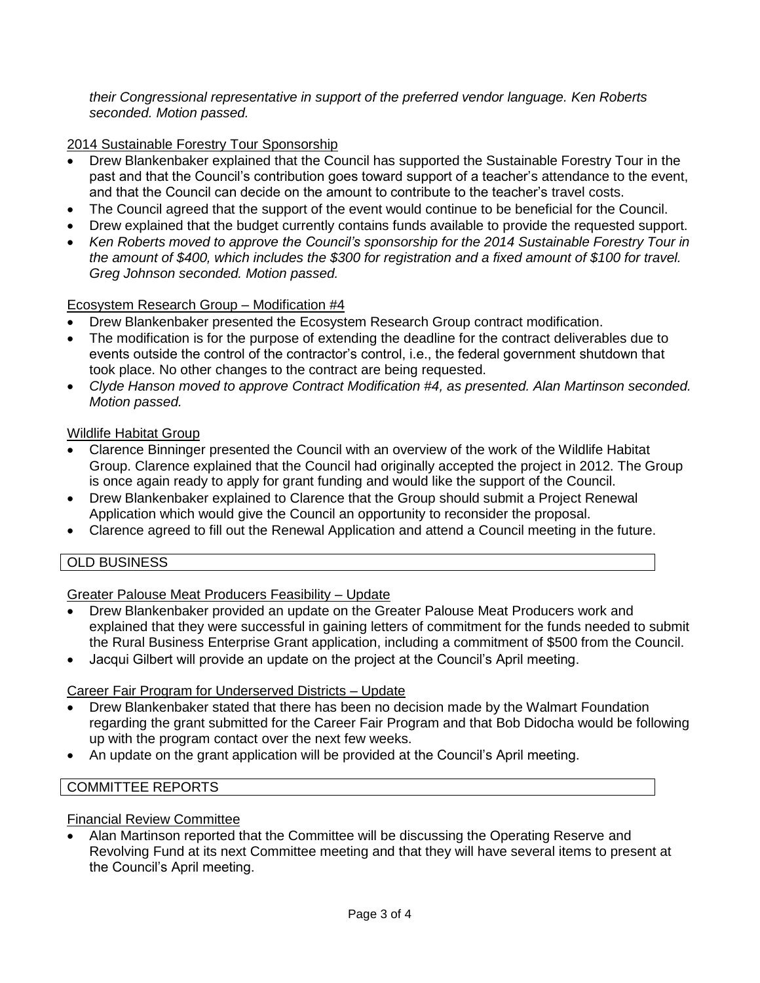*their Congressional representative in support of the preferred vendor language. Ken Roberts seconded. Motion passed.*

# 2014 Sustainable Forestry Tour Sponsorship

- Drew Blankenbaker explained that the Council has supported the Sustainable Forestry Tour in the past and that the Council's contribution goes toward support of a teacher's attendance to the event, and that the Council can decide on the amount to contribute to the teacher's travel costs.
- The Council agreed that the support of the event would continue to be beneficial for the Council.
- Drew explained that the budget currently contains funds available to provide the requested support.
- *Ken Roberts moved to approve the Council's sponsorship for the 2014 Sustainable Forestry Tour in the amount of \$400, which includes the \$300 for registration and a fixed amount of \$100 for travel. Greg Johnson seconded. Motion passed.*

### Ecosystem Research Group – Modification #4

- Drew Blankenbaker presented the Ecosystem Research Group contract modification.
- The modification is for the purpose of extending the deadline for the contract deliverables due to events outside the control of the contractor's control, i.e., the federal government shutdown that took place. No other changes to the contract are being requested.
- *Clyde Hanson moved to approve Contract Modification #4, as presented. Alan Martinson seconded. Motion passed.*

## Wildlife Habitat Group

- Clarence Binninger presented the Council with an overview of the work of the Wildlife Habitat Group. Clarence explained that the Council had originally accepted the project in 2012. The Group is once again ready to apply for grant funding and would like the support of the Council.
- Drew Blankenbaker explained to Clarence that the Group should submit a Project Renewal Application which would give the Council an opportunity to reconsider the proposal.
- Clarence agreed to fill out the Renewal Application and attend a Council meeting in the future.

# OLD BUSINESS

# Greater Palouse Meat Producers Feasibility – Update

- Drew Blankenbaker provided an update on the Greater Palouse Meat Producers work and explained that they were successful in gaining letters of commitment for the funds needed to submit the Rural Business Enterprise Grant application, including a commitment of \$500 from the Council.
- Jacqui Gilbert will provide an update on the project at the Council's April meeting.

### Career Fair Program for Underserved Districts – Update

- Drew Blankenbaker stated that there has been no decision made by the Walmart Foundation regarding the grant submitted for the Career Fair Program and that Bob Didocha would be following up with the program contact over the next few weeks.
- An update on the grant application will be provided at the Council's April meeting.

### COMMITTEE REPORTS

### Financial Review Committee

 Alan Martinson reported that the Committee will be discussing the Operating Reserve and Revolving Fund at its next Committee meeting and that they will have several items to present at the Council's April meeting.